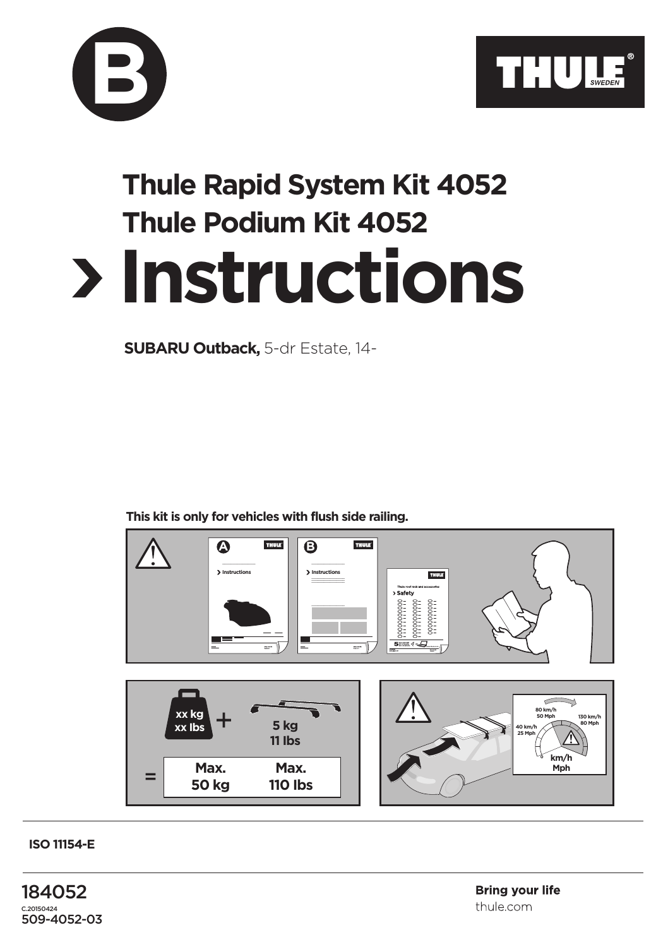



## **Instructions Thule Rapid System Kit 4052 Thule Podium Kit 4052**

**SUBARU Outback,** 5-dr Estate, 14-

**This kit is only for vehicles with flush side railing.**



**ISO 11154-E**

184052 C.20150424 509-4052-03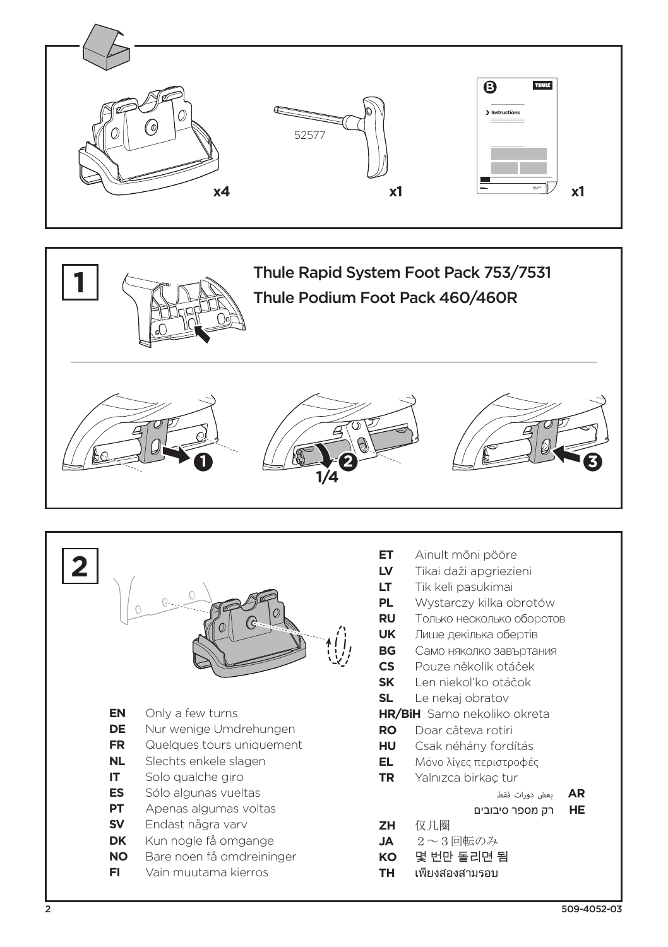





|           |                                                   | E1<br>LV<br>ᄓ<br>Pl.<br>Rl<br>Uŀ<br>B<br>CS<br>Sk |
|-----------|---------------------------------------------------|---------------------------------------------------|
| ΕN        | Only a few turns                                  | SL<br>HF                                          |
| DE        | Nur wenige Umdrehungen                            | R <sub>C</sub>                                    |
| FR        | Quelques tours uniquement                         | н                                                 |
| NL.       | Slechts enkele slagen                             | EL                                                |
| IT.       | Solo qualche giro                                 | ΤF                                                |
| ES        | Sólo algunas vueltas                              |                                                   |
| PТ        | Apenas algumas voltas                             |                                                   |
| <b>SV</b> | Endast några varv                                 | Ζŀ                                                |
| DK<br>NO  | Kun nogle få omgange                              | JA                                                |
| FI        | Bare noen få omdreininger<br>Vain muutama kierros | K <sup></sup><br>Τŀ                               |
|           |                                                   |                                                   |

- Ainult mõni pööre
- Tikai daži apgriezieni
	- Tik keli pasukimai
- Wystarczy kilka obrotów
- Ĵ Только несколько оборотов
- K. Лише декілька обертів
- Само няколко завъртания G
- Pouze několik otáček
- Len niekoľko otáčok
- Le nekaj obratov
- R/BiH Samo nekoliko okreta
- Doar câteva rotiri C.
- Csak néhány fordítás H.
- Μόνο λίνες περιστροφές
- Yalnızca birkaç tur J.
	- بعض دورات فقط AR
	- רק מספר סיבובים **HE**
- 仅几圈 t.
- $2 \sim 3$ 回転のみ
- 몇 번만 돌리면 됨 C
- เพียงสองสามรอบ t.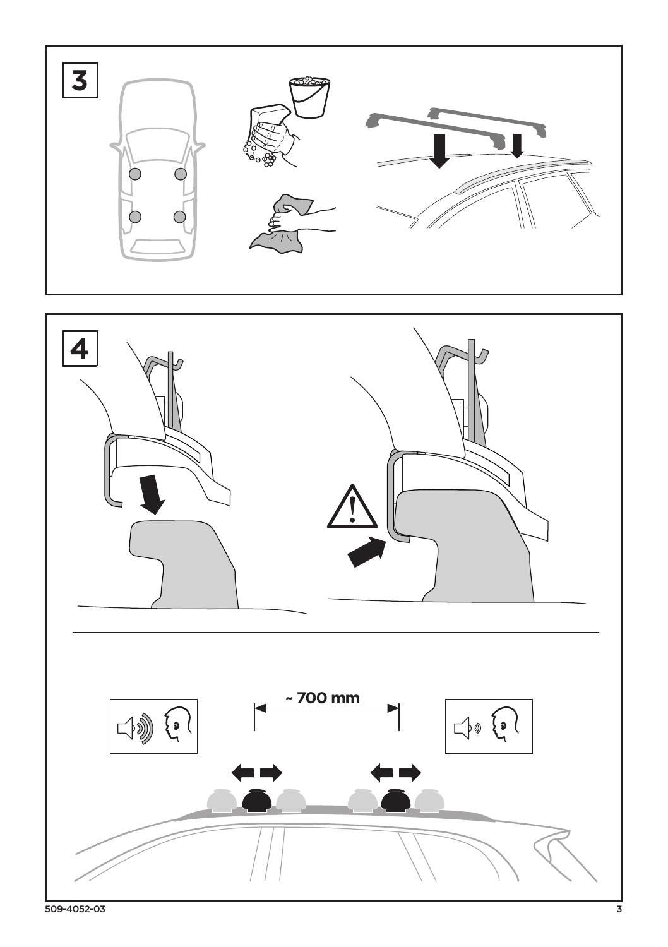